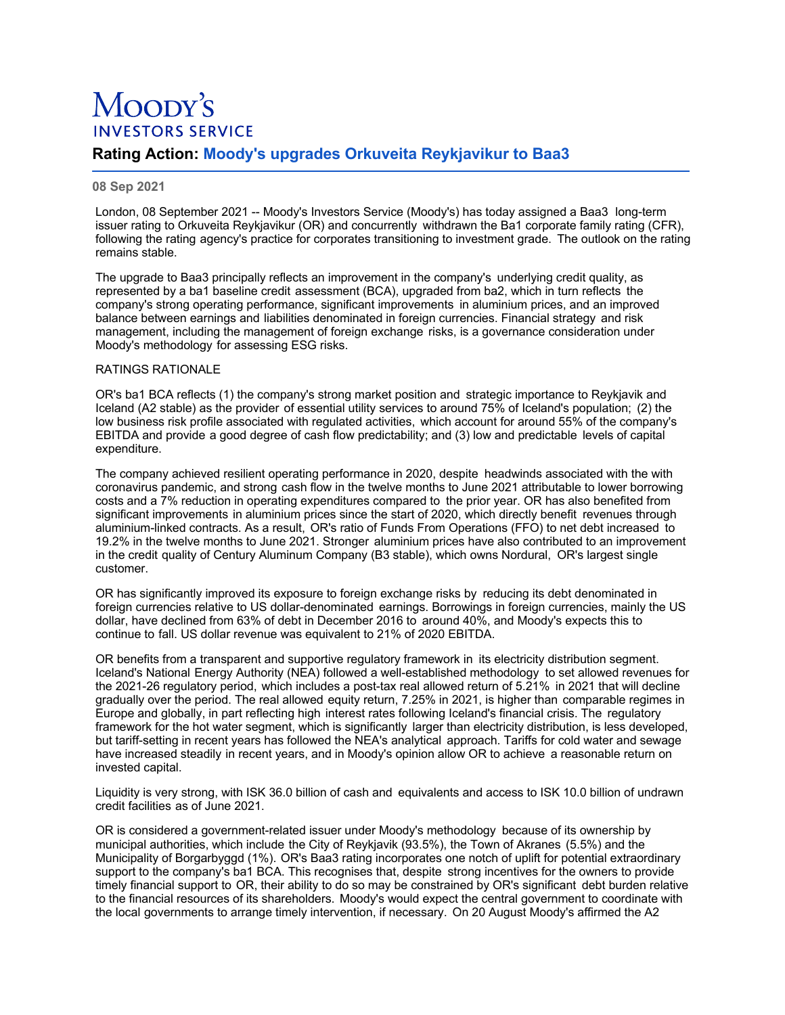# Moopy's **INVESTORS SERVICE**

# **Rating Action: Moody's upgrades Orkuveita Reykjavikur to Baa3**

### **08 Sep 2021**

London, 08 September 2021 -- Moody's Investors Service (Moody's) has today assigned a Baa3 long-term issuer rating to Orkuveita Reykjavikur (OR) and concurrently withdrawn the Ba1 corporate family rating (CFR), following the rating agency's practice for corporates transitioning to investment grade. The outlook on the rating remains stable.

The upgrade to Baa3 principally reflects an improvement in the company's underlying credit quality, as represented by a ba1 baseline credit assessment (BCA), upgraded from ba2, which in turn reflects the company's strong operating performance, significant improvements in aluminium prices, and an improved balance between earnings and liabilities denominated in foreign currencies. Financial strategy and risk management, including the management of foreign exchange risks, is a governance consideration under Moody's methodology for assessing ESG risks.

## RATINGS RATIONALE

OR's ba1 BCA reflects (1) the company's strong market position and strategic importance to Reykjavik and Iceland (A2 stable) as the provider of essential utility services to around 75% of Iceland's population; (2) the low business risk profile associated with regulated activities, which account for around 55% of the company's EBITDA and provide a good degree of cash flow predictability; and (3) low and predictable levels of capital expenditure.

The company achieved resilient operating performance in 2020, despite headwinds associated with the with coronavirus pandemic, and strong cash flow in the twelve months to June 2021 attributable to lower borrowing costs and a 7% reduction in operating expenditures compared to the prior year. OR has also benefited from significant improvements in aluminium prices since the start of 2020, which directly benefit revenues through aluminium-linked contracts. As a result, OR's ratio of Funds From Operations (FFO) to net debt increased to 19.2% in the twelve months to June 2021. Stronger aluminium prices have also contributed to an improvement in the credit quality of Century Aluminum Company (B3 stable), which owns Nordural, OR's largest single customer.

OR has significantly improved its exposure to foreign exchange risks by reducing its debt denominated in foreign currencies relative to US dollar-denominated earnings. Borrowings in foreign currencies, mainly the US dollar, have declined from 63% of debt in December 2016 to around 40%, and Moody's expects this to continue to fall. US dollar revenue was equivalent to 21% of 2020 EBITDA.

OR benefits from a transparent and supportive regulatory framework in its electricity distribution segment. Iceland's National Energy Authority (NEA) followed a well-established methodology to set allowed revenues for the 2021-26 regulatory period, which includes a post-tax real allowed return of 5.21% in 2021 that will decline gradually over the period. The real allowed equity return, 7.25% in 2021, is higher than comparable regimes in Europe and globally, in part reflecting high interest rates following Iceland's financial crisis. The regulatory framework for the hot water segment, which is significantly larger than electricity distribution, is less developed, but tariff-setting in recent years has followed the NEA's analytical approach. Tariffs for cold water and sewage have increased steadily in recent years, and in Moody's opinion allow OR to achieve a reasonable return on invested capital.

Liquidity is very strong, with ISK 36.0 billion of cash and equivalents and access to ISK 10.0 billion of undrawn credit facilities as of June 2021.

OR is considered a government-related issuer under Moody's methodology because of its ownership by municipal authorities, which include the City of Reykjavik (93.5%), the Town of Akranes (5.5%) and the Municipality of Borgarbyggd (1%). OR's Baa3 rating incorporates one notch of uplift for potential extraordinary support to the company's ba1 BCA. This recognises that, despite strong incentives for the owners to provide timely financial support to OR, their ability to do so may be constrained by OR's significant debt burden relative to the financial resources of its shareholders. Moody's would expect the central government to coordinate with the local governments to arrange timely intervention, if necessary. On 20 August Moody's affirmed the A2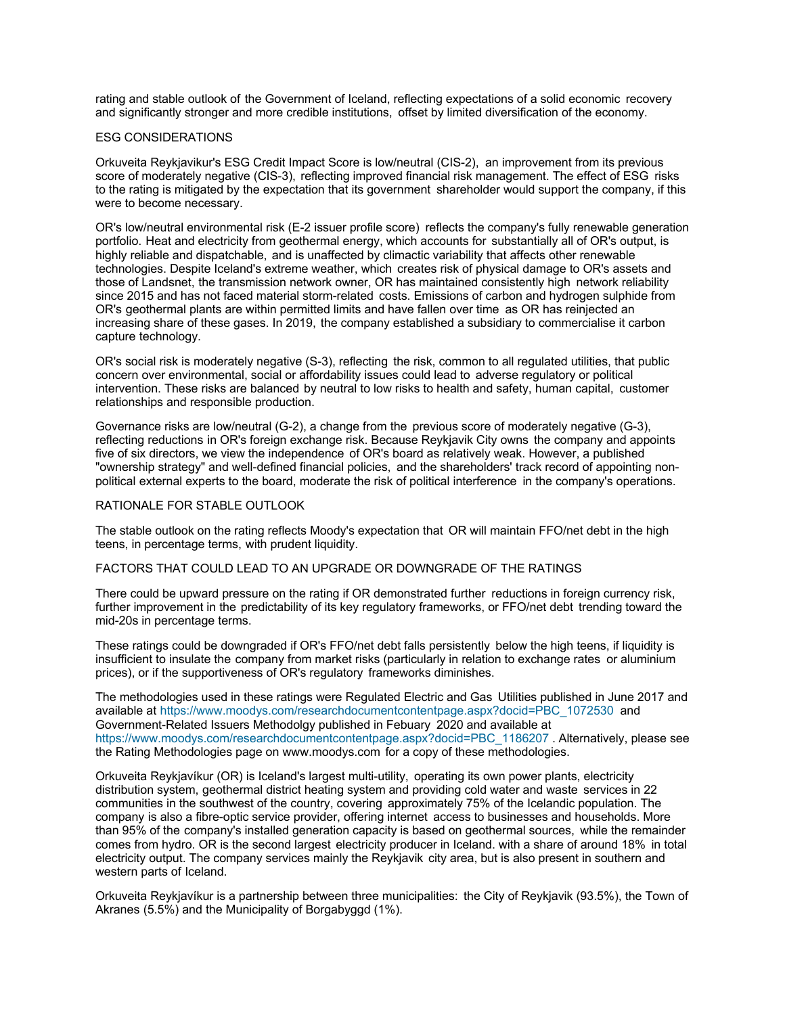rating and stable outlook of the Government of Iceland, reflecting expectations of a solid economic recovery and significantly stronger and more credible institutions, offset by limited diversification of the economy.

#### ESG CONSIDERATIONS

Orkuveita Reykjavikur's ESG Credit Impact Score is low/neutral (CIS-2), an improvement from its previous score of moderately negative (CIS-3), reflecting improved financial risk management. The effect of ESG risks to the rating is mitigated by the expectation that its government shareholder would support the company, if this were to become necessary.

OR's low/neutral environmental risk (E-2 issuer profile score) reflects the company's fully renewable generation portfolio. Heat and electricity from geothermal energy, which accounts for substantially all of OR's output, is highly reliable and dispatchable, and is unaffected by climactic variability that affects other renewable technologies. Despite Iceland's extreme weather, which creates risk of physical damage to OR's assets and those of Landsnet, the transmission network owner, OR has maintained consistently high network reliability since 2015 and has not faced material storm-related costs. Emissions of carbon and hydrogen sulphide from OR's geothermal plants are within permitted limits and have fallen over time as OR has reinjected an increasing share of these gases. In 2019, the company established a subsidiary to commercialise it carbon capture technology.

OR's social risk is moderately negative (S-3), reflecting the risk, common to all regulated utilities, that public concern over environmental, social or affordability issues could lead to adverse regulatory or political intervention. These risks are balanced by neutral to low risks to health and safety, human capital, customer relationships and responsible production.

Governance risks are low/neutral (G-2), a change from the previous score of moderately negative (G-3), reflecting reductions in OR's foreign exchange risk. Because Reykjavik City owns the company and appoints five of six directors, we view the independence of OR's board as relatively weak. However, a published "ownership strategy" and well-defined financial policies, and the shareholders' track record of appointing nonpolitical external experts to the board, moderate the risk of political interference in the company's operations.

#### RATIONALE FOR STABLE OUTLOOK

The stable outlook on the rating reflects Moody's expectation that OR will maintain FFO/net debt in the high teens, in percentage terms, with prudent liquidity.

#### FACTORS THAT COULD LEAD TO AN UPGRADE OR DOWNGRADE OF THE RATINGS

There could be upward pressure on the rating if OR demonstrated further reductions in foreign currency risk, further improvement in the predictability of its key regulatory frameworks, or FFO/net debt trending toward the mid-20s in percentage terms.

These ratings could be downgraded if OR's FFO/net debt falls persistently below the high teens, if liquidity is insufficient to insulate the company from market risks (particularly in relation to exchange rates or aluminium prices), or if the supportiveness of OR's regulatory frameworks diminishes.

The methodologies used in these ratings were Regulated Electric and Gas Utilities published in June 2017 and available at [https://www.moodys.com/researchdocumentcontentpage.aspx?docid=PBC\\_1072530](https://www.moodys.com/researchdocumentcontentpage.aspx?docid=PBC_1072530) and Government-Related Issuers Methodolgy published in Febuary 2020 and available at [https://www.moodys.com/researchdocumentcontentpage.aspx?docid=PBC\\_1186207](https://www.moodys.com/researchdocumentcontentpage.aspx?docid=PBC_1186207). Alternatively, please see the Rating Methodologies page on www.moodys.com for a copy of these methodologies.

Orkuveita Reykjavíkur (OR) is Iceland's largest multi-utility, operating its own power plants, electricity distribution system, geothermal district heating system and providing cold water and waste services in 22 communities in the southwest of the country, covering approximately 75% of the Icelandic population. The company is also a fibre-optic service provider, offering internet access to businesses and households. More than 95% of the company's installed generation capacity is based on geothermal sources, while the remainder comes from hydro. OR is the second largest electricity producer in Iceland. with a share of around 18% in total electricity output. The company services mainly the Reykjavik city area, but is also present in southern and western parts of Iceland.

Orkuveita Reykjavíkur is a partnership between three municipalities: the City of Reykjavik (93.5%), the Town of Akranes (5.5%) and the Municipality of Borgabyggd (1%).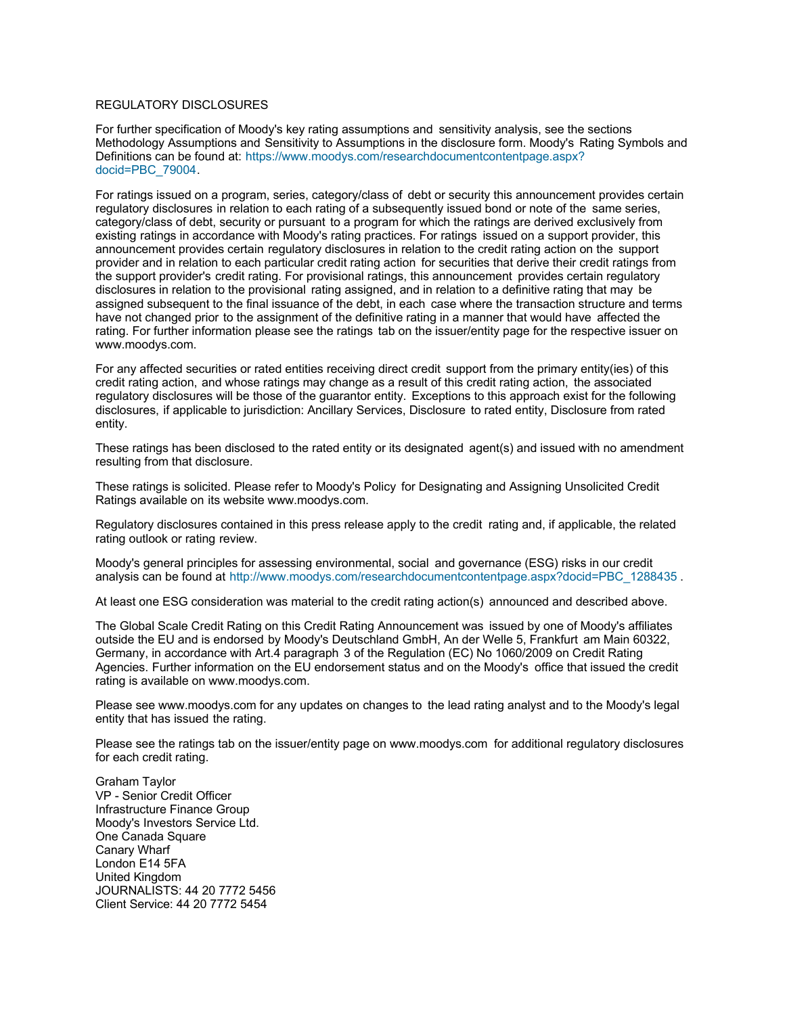#### REGULATORY DISCLOSURES

For further specification of Moody's key rating assumptions and sensitivity analysis, see the sections Methodology Assumptions and Sensitivity to Assumptions in the disclosure form. Moody's Rating Symbols and [Definitions can be found at: https://www.moodys.com/researchdocumentcontentpage.aspx?](https://www.moodys.com/researchdocumentcontentpage.aspx?docid=PBC_79004) docid=PBC\_79004.

For ratings issued on a program, series, category/class of debt or security this announcement provides certain regulatory disclosures in relation to each rating of a subsequently issued bond or note of the same series, category/class of debt, security or pursuant to a program for which the ratings are derived exclusively from existing ratings in accordance with Moody's rating practices. For ratings issued on a support provider, this announcement provides certain regulatory disclosures in relation to the credit rating action on the support provider and in relation to each particular credit rating action for securities that derive their credit ratings from the support provider's credit rating. For provisional ratings, this announcement provides certain regulatory disclosures in relation to the provisional rating assigned, and in relation to a definitive rating that may be assigned subsequent to the final issuance of the debt, in each case where the transaction structure and terms have not changed prior to the assignment of the definitive rating in a manner that would have affected the rating. For further information please see the ratings tab on the issuer/entity page for the respective issuer on www.moodys.com.

For any affected securities or rated entities receiving direct credit support from the primary entity(ies) of this credit rating action, and whose ratings may change as a result of this credit rating action, the associated regulatory disclosures will be those of the guarantor entity. Exceptions to this approach exist for the following disclosures, if applicable to jurisdiction: Ancillary Services, Disclosure to rated entity, Disclosure from rated entity.

These ratings has been disclosed to the rated entity or its designated agent(s) and issued with no amendment resulting from that disclosure.

These ratings is solicited. Please refer to Moody's Policy for Designating and Assigning Unsolicited Credit Ratings available on its website www.moodys.com.

Regulatory disclosures contained in this press release apply to the credit rating and, if applicable, the related rating outlook or rating review.

Moody's general principles for assessing environmental, social and governance (ESG) risks in our credit analysis can be found at [http://www.moodys.com/researchdocumentcontentpage.aspx?docid=PBC\\_1288435](http://www.moodys.com/researchdocumentcontentpage.aspx?docid=PBC_1288435).

At least one ESG consideration was material to the credit rating action(s) announced and described above.

The Global Scale Credit Rating on this Credit Rating Announcement was issued by one of Moody's affiliates outside the EU and is endorsed by Moody's Deutschland GmbH, An der Welle 5, Frankfurt am Main 60322, Germany, in accordance with Art.4 paragraph 3 of the Regulation (EC) No 1060/2009 on Credit Rating Agencies. Further information on the EU endorsement status and on the Moody's office that issued the credit rating is available on www.moodys.com.

Please see www.moodys.com for any updates on changes to the lead rating analyst and to the Moody's legal entity that has issued the rating.

Please see the ratings tab on the issuer/entity page on www.moodys.com for additional regulatory disclosures for each credit rating.

Graham Taylor VP - Senior Credit Officer Infrastructure Finance Group Moody's Investors Service Ltd. One Canada Square Canary Wharf London E14 5FA United Kingdom JOURNALISTS: 44 20 7772 5456 Client Service: 44 20 7772 5454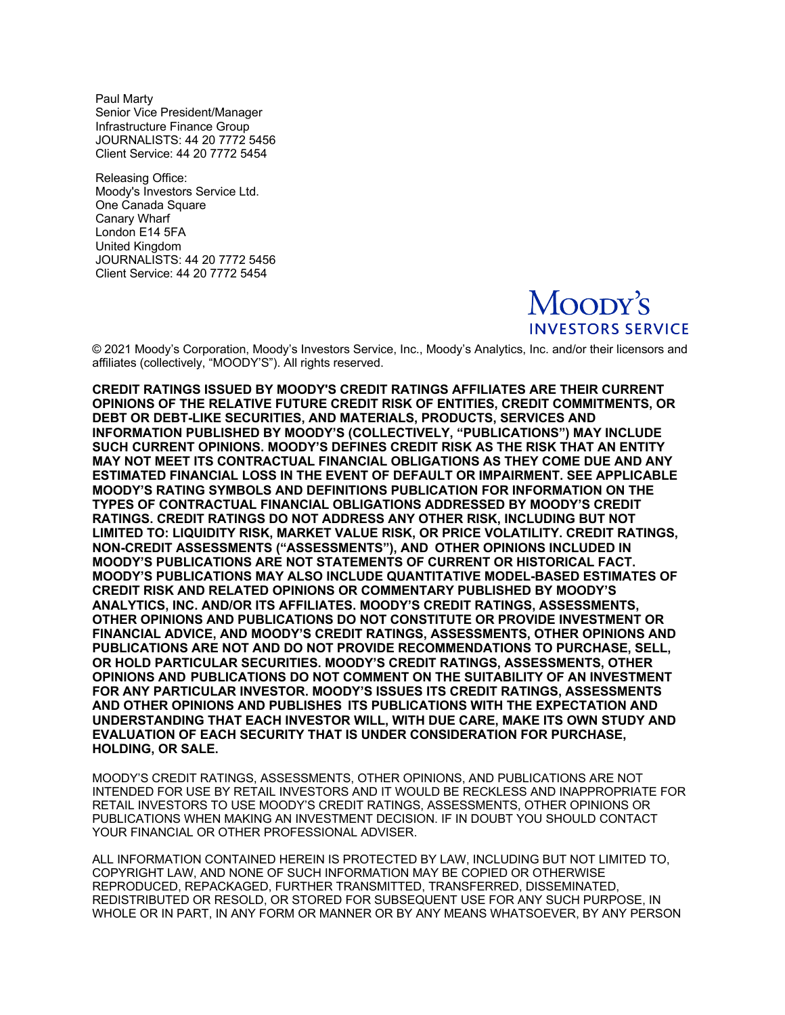Paul Marty Senior Vice President/Manager Infrastructure Finance Group JOURNALISTS: 44 20 7772 5456 Client Service: 44 20 7772 5454

Releasing Office: Moody's Investors Service Ltd. One Canada Square Canary Wharf London E14 5FA United Kingdom JOURNALISTS: 44 20 7772 5456 Client Service: 44 20 7772 5454



© 2021 Moody's Corporation, Moody's Investors Service, Inc., Moody's Analytics, Inc. and/or their licensors and affiliates (collectively, "MOODY'S"). All rights reserved.

**CREDIT RATINGS ISSUED BY MOODY'S CREDIT RATINGS AFFILIATES ARE THEIR CURRENT OPINIONS OF THE RELATIVE FUTURE CREDIT RISK OF ENTITIES, CREDIT COMMITMENTS, OR DEBT OR DEBT-LIKE SECURITIES, AND MATERIALS, PRODUCTS, SERVICES AND INFORMATION PUBLISHED BY MOODY'S (COLLECTIVELY, "PUBLICATIONS") MAY INCLUDE SUCH CURRENT OPINIONS. MOODY'S DEFINES CREDIT RISK AS THE RISK THAT AN ENTITY MAY NOT MEET ITS CONTRACTUAL FINANCIAL OBLIGATIONS AS THEY COME DUE AND ANY ESTIMATED FINANCIAL LOSS IN THE EVENT OF DEFAULT OR IMPAIRMENT. SEE APPLICABLE MOODY'S RATING SYMBOLS AND DEFINITIONS PUBLICATION FOR INFORMATION ON THE TYPES OF CONTRACTUAL FINANCIAL OBLIGATIONS ADDRESSED BY MOODY'S CREDIT RATINGS. CREDIT RATINGS DO NOT ADDRESS ANY OTHER RISK, INCLUDING BUT NOT LIMITED TO: LIQUIDITY RISK, MARKET VALUE RISK, OR PRICE VOLATILITY. CREDIT RATINGS, NON-CREDIT ASSESSMENTS ("ASSESSMENTS"), AND OTHER OPINIONS INCLUDED IN MOODY'S PUBLICATIONS ARE NOT STATEMENTS OF CURRENT OR HISTORICAL FACT. MOODY'S PUBLICATIONS MAY ALSO INCLUDE QUANTITATIVE MODEL-BASED ESTIMATES OF CREDIT RISK AND RELATED OPINIONS OR COMMENTARY PUBLISHED BY MOODY'S ANALYTICS, INC. AND/OR ITS AFFILIATES. MOODY'S CREDIT RATINGS, ASSESSMENTS, OTHER OPINIONS AND PUBLICATIONS DO NOT CONSTITUTE OR PROVIDE INVESTMENT OR FINANCIAL ADVICE, AND MOODY'S CREDIT RATINGS, ASSESSMENTS, OTHER OPINIONS AND PUBLICATIONS ARE NOT AND DO NOT PROVIDE RECOMMENDATIONS TO PURCHASE, SELL, OR HOLD PARTICULAR SECURITIES. MOODY'S CREDIT RATINGS, ASSESSMENTS, OTHER OPINIONS AND PUBLICATIONS DO NOT COMMENT ON THE SUITABILITY OF AN INVESTMENT FOR ANY PARTICULAR INVESTOR. MOODY'S ISSUES ITS CREDIT RATINGS, ASSESSMENTS AND OTHER OPINIONS AND PUBLISHES ITS PUBLICATIONS WITH THE EXPECTATION AND UNDERSTANDING THAT EACH INVESTOR WILL, WITH DUE CARE, MAKE ITS OWN STUDY AND EVALUATION OF EACH SECURITY THAT IS UNDER CONSIDERATION FOR PURCHASE, HOLDING, OR SALE.** 

MOODY'S CREDIT RATINGS, ASSESSMENTS, OTHER OPINIONS, AND PUBLICATIONS ARE NOT INTENDED FOR USE BY RETAIL INVESTORS AND IT WOULD BE RECKLESS AND INAPPROPRIATE FOR RETAIL INVESTORS TO USE MOODY'S CREDIT RATINGS, ASSESSMENTS, OTHER OPINIONS OR PUBLICATIONS WHEN MAKING AN INVESTMENT DECISION. IF IN DOUBT YOU SHOULD CONTACT YOUR FINANCIAL OR OTHER PROFESSIONAL ADVISER.

ALL INFORMATION CONTAINED HEREIN IS PROTECTED BY LAW, INCLUDING BUT NOT LIMITED TO, COPYRIGHT LAW, AND NONE OF SUCH INFORMATION MAY BE COPIED OR OTHERWISE REPRODUCED, REPACKAGED, FURTHER TRANSMITTED, TRANSFERRED, DISSEMINATED, REDISTRIBUTED OR RESOLD, OR STORED FOR SUBSEQUENT USE FOR ANY SUCH PURPOSE, IN WHOLE OR IN PART, IN ANY FORM OR MANNER OR BY ANY MEANS WHATSOEVER, BY ANY PERSON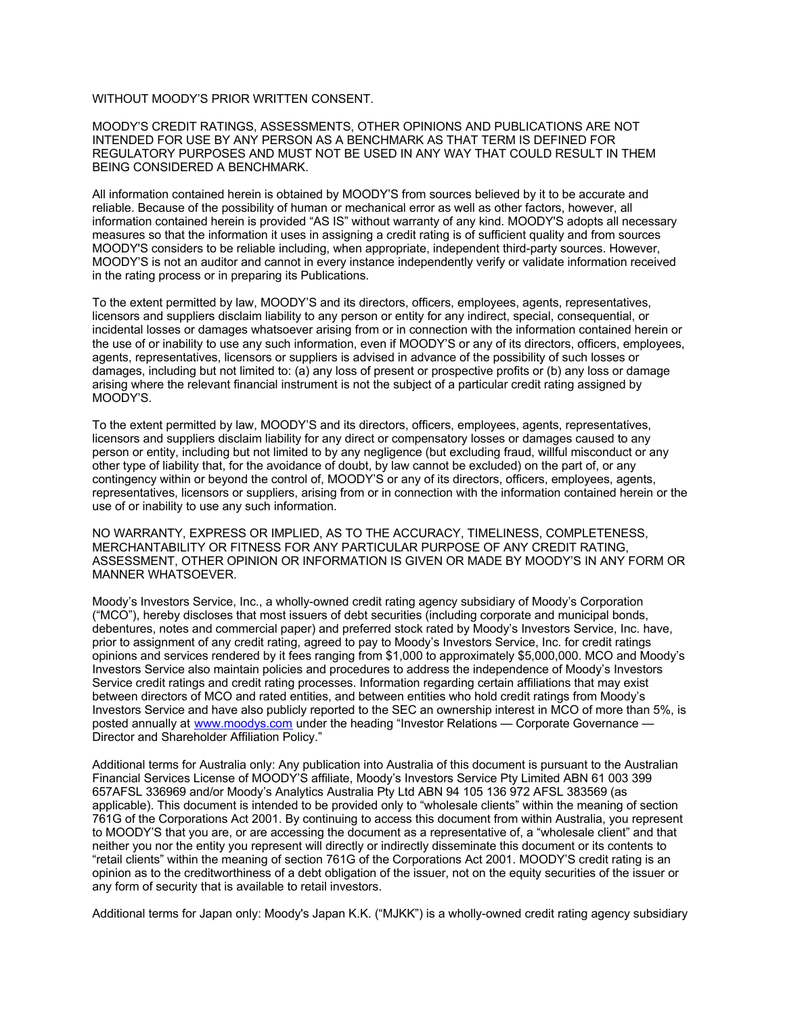#### WITHOUT MOODY'S PRIOR WRITTEN CONSENT.

MOODY'S CREDIT RATINGS, ASSESSMENTS, OTHER OPINIONS AND PUBLICATIONS ARE NOT INTENDED FOR USE BY ANY PERSON AS A BENCHMARK AS THAT TERM IS DEFINED FOR REGULATORY PURPOSES AND MUST NOT BE USED IN ANY WAY THAT COULD RESULT IN THEM BEING CONSIDERED A BENCHMARK.

All information contained herein is obtained by MOODY'S from sources believed by it to be accurate and reliable. Because of the possibility of human or mechanical error as well as other factors, however, all information contained herein is provided "AS IS" without warranty of any kind. MOODY'S adopts all necessary measures so that the information it uses in assigning a credit rating is of sufficient quality and from sources MOODY'S considers to be reliable including, when appropriate, independent third-party sources. However, MOODY'S is not an auditor and cannot in every instance independently verify or validate information received in the rating process or in preparing its Publications.

To the extent permitted by law, MOODY'S and its directors, officers, employees, agents, representatives, licensors and suppliers disclaim liability to any person or entity for any indirect, special, consequential, or incidental losses or damages whatsoever arising from or in connection with the information contained herein or the use of or inability to use any such information, even if MOODY'S or any of its directors, officers, employees, agents, representatives, licensors or suppliers is advised in advance of the possibility of such losses or damages, including but not limited to: (a) any loss of present or prospective profits or (b) any loss or damage arising where the relevant financial instrument is not the subject of a particular credit rating assigned by MOODY'S.

To the extent permitted by law, MOODY'S and its directors, officers, employees, agents, representatives, licensors and suppliers disclaim liability for any direct or compensatory losses or damages caused to any person or entity, including but not limited to by any negligence (but excluding fraud, willful misconduct or any other type of liability that, for the avoidance of doubt, by law cannot be excluded) on the part of, or any contingency within or beyond the control of, MOODY'S or any of its directors, officers, employees, agents, representatives, licensors or suppliers, arising from or in connection with the information contained herein or the use of or inability to use any such information.

NO WARRANTY, EXPRESS OR IMPLIED, AS TO THE ACCURACY, TIMELINESS, COMPLETENESS, MERCHANTABILITY OR FITNESS FOR ANY PARTICULAR PURPOSE OF ANY CREDIT RATING, ASSESSMENT, OTHER OPINION OR INFORMATION IS GIVEN OR MADE BY MOODY'S IN ANY FORM OR MANNER WHATSOEVER.

Moody's Investors Service, Inc., a wholly-owned credit rating agency subsidiary of Moody's Corporation ("MCO"), hereby discloses that most issuers of debt securities (including corporate and municipal bonds, debentures, notes and commercial paper) and preferred stock rated by Moody's Investors Service, Inc. have, prior to assignment of any credit rating, agreed to pay to Moody's Investors Service, Inc. for credit ratings opinions and services rendered by it fees ranging from \$1,000 to approximately \$5,000,000. MCO and Moody's Investors Service also maintain policies and procedures to address the independence of Moody's Investors Service credit ratings and credit rating processes. Information regarding certain affiliations that may exist between directors of MCO and rated entities, and between entities who hold credit ratings from Moody's Investors Service and have also publicly reported to the SEC an ownership interest in MCO of more than 5%, is posted annually at [www.moodys.com](http://www.moodys.com/) under the heading "Investor Relations — Corporate Governance — Director and Shareholder Affiliation Policy."

Additional terms for Australia only: Any publication into Australia of this document is pursuant to the Australian Financial Services License of MOODY'S affiliate, Moody's Investors Service Pty Limited ABN 61 003 399 657AFSL 336969 and/or Moody's Analytics Australia Pty Ltd ABN 94 105 136 972 AFSL 383569 (as applicable). This document is intended to be provided only to "wholesale clients" within the meaning of section 761G of the Corporations Act 2001. By continuing to access this document from within Australia, you represent to MOODY'S that you are, or are accessing the document as a representative of, a "wholesale client" and that neither you nor the entity you represent will directly or indirectly disseminate this document or its contents to "retail clients" within the meaning of section 761G of the Corporations Act 2001. MOODY'S credit rating is an opinion as to the creditworthiness of a debt obligation of the issuer, not on the equity securities of the issuer or any form of security that is available to retail investors.

Additional terms for Japan only: Moody's Japan K.K. ("MJKK") is a wholly-owned credit rating agency subsidiary